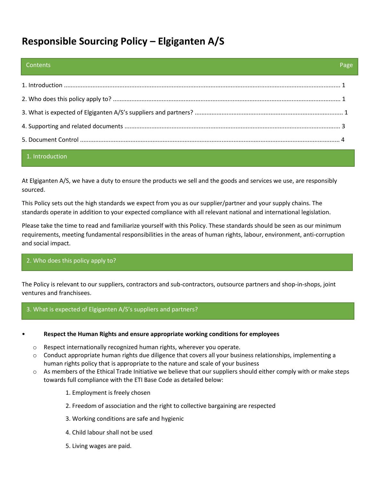# **Responsible Sourcing Policy – Elgiganten A/S**

| <b>Contents</b> | Page |
|-----------------|------|
|                 |      |
|                 |      |
|                 |      |
|                 |      |
|                 |      |
|                 |      |

# 1. Introduction

At Elgiganten A/S, we have a duty to ensure the products we sell and the goods and services we use, are responsibly sourced.

This Policy sets out the high standards we expect from you as our supplier/partner and your supply chains. The standards operate in addition to your expected compliance with all relevant national and international legislation.

Please take the time to read and familiarize yourself with this Policy. These standards should be seen as our minimum requirements, meeting fundamental responsibilities in the areas of human rights, labour, environment, anti-corruption and social impact.

#### 2. Who does this policy apply to?

The Policy is relevant to our suppliers, contractors and sub-contractors, outsource partners and shop-in-shops, joint ventures and franchisees.

#### 3. What is expected of Elgiganten A/S's suppliers and partners?

#### • **Respect the Human Rights and ensure appropriate working conditions for employees**

- o Respect internationally recognized human rights, wherever you operate.
- $\circ$  Conduct appropriate human rights due diligence that covers all your business relationships, implementing a human rights policy that is appropriate to the nature and scale of your business
- $\circ$  As members of the Ethical Trade Initiative we believe that our suppliers should either comply with or make steps towards full compliance with the ETI Base Code as detailed below:

1. Employment is freely chosen

- 2. Freedom of association and the right to collective bargaining are respected
- 3. Working conditions are safe and hygienic
- 4. Child labour shall not be used
- 5. Living wages are paid.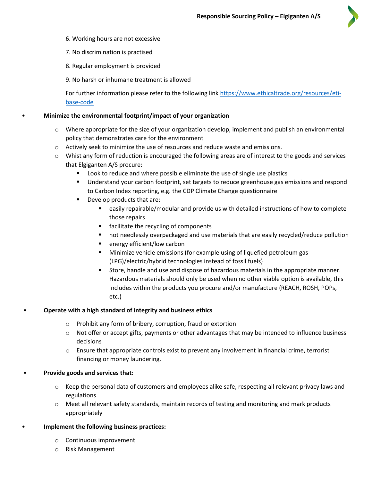

- 6. Working hours are not excessive
- 7. No discrimination is practised
- 8. Regular employment is provided
- 9. No harsh or inhumane treatment is allowed

For further information please refer to the following link [https://www.ethicaltrade.org/resources/eti](https://www.ethicaltrade.org/resources/eti-base-code)[base-code](https://www.ethicaltrade.org/resources/eti-base-code) 

## • **Minimize the environmental footprint/impact of your organization**

- $\circ$  Where appropriate for the size of your organization develop, implement and publish an environmental policy that demonstrates care for the environment
- o Actively seek to minimize the use of resources and reduce waste and emissions.
- $\circ$  Whist any form of reduction is encouraged the following areas are of interest to the goods and services that Elgiganten A/S procure:
	- Look to reduce and where possible eliminate the use of single use plastics
	- Understand your carbon footprint, set targets to reduce greenhouse gas emissions and respond to Carbon Index reporting, e.g. the CDP Climate Change questionnaire
	- Develop products that are:
		- easily repairable/modular and provide us with detailed instructions of how to complete those repairs
		- facilitate the recycling of components
		- not needlessly overpackaged and use materials that are easily recycled/reduce pollution
		- energy efficient/low carbon
		- Minimize vehicle emissions (for example using of liquefied petroleum gas (LPG)/electric/hybrid technologies instead of fossil fuels)
		- Store, handle and use and dispose of hazardous materials in the appropriate manner. Hazardous materials should only be used when no other viable option is available, this includes within the products you procure and/or manufacture (REACH, ROSH, POPs, etc.)

#### • **Operate with a high standard of integrity and business ethics**

- o Prohibit any form of bribery, corruption, fraud or extortion
- $\circ$  Not offer or accept gifts, payments or other advantages that may be intended to influence business decisions
- o Ensure that appropriate controls exist to prevent any involvement in financial crime, terrorist financing or money laundering.

# • **Provide goods and services that:**

- $\circ$  Keep the personal data of customers and employees alike safe, respecting all relevant privacy laws and regulations
- o Meet all relevant safety standards, maintain records of testing and monitoring and mark products appropriately
- **Implement the following business practices:** 
	- o Continuous improvement
	- o Risk Management